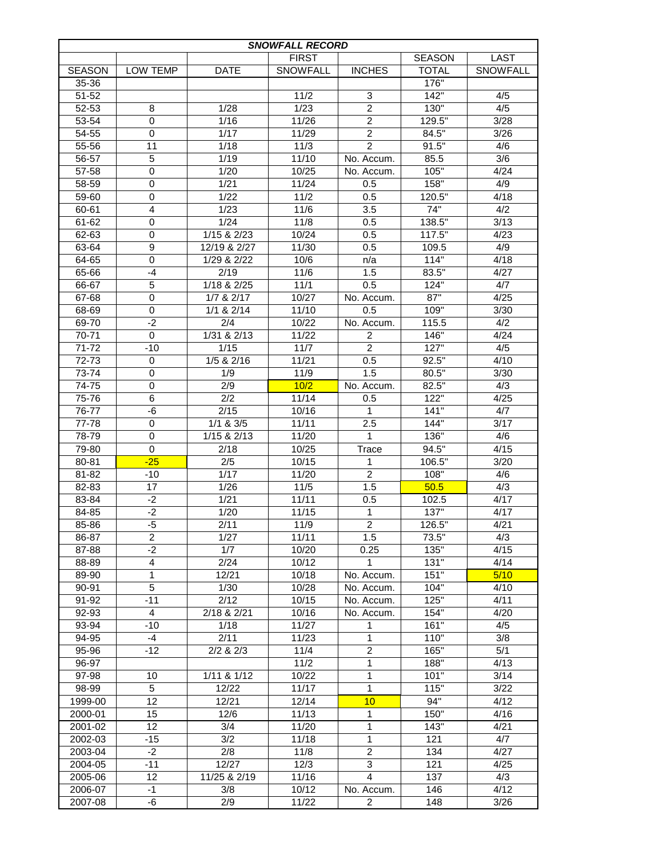| <b>SNOWFALL RECORD</b> |                  |                             |                 |                  |               |          |  |  |  |  |  |
|------------------------|------------------|-----------------------------|-----------------|------------------|---------------|----------|--|--|--|--|--|
|                        |                  |                             | <b>FIRST</b>    |                  | <b>SEASON</b> | LAST     |  |  |  |  |  |
| <b>SEASON</b>          | LOW TEMP         | <b>DATE</b>                 | <b>SNOWFALL</b> | <b>INCHES</b>    | <b>TOTAL</b>  | SNOWFALL |  |  |  |  |  |
| 35-36                  |                  |                             |                 |                  | 176"          |          |  |  |  |  |  |
| 51-52                  |                  |                             | 11/2            | 3                | 142"          | 4/5      |  |  |  |  |  |
| 52-53                  | 8                | 1/28                        | 1/23            | $\overline{2}$   | 130"          | 4/5      |  |  |  |  |  |
| 53-54                  | $\mathbf 0$      | 1/16                        | 11/26           | $\overline{c}$   | 129.5"        | 3/28     |  |  |  |  |  |
| 54-55                  | $\mathbf 0$      | 1/17                        | 11/29           | $\overline{2}$   | 84.5"         | 3/26     |  |  |  |  |  |
| 55-56                  | 11               | 1/18                        | 11/3            | $\overline{2}$   | 91.5"         | 4/6      |  |  |  |  |  |
| 56-57                  | 5                | 1/19                        | 11/10           | No. Accum.       | 85.5          | 3/6      |  |  |  |  |  |
| 57-58                  | $\mathbf 0$      | 1/20                        | 10/25           | No. Accum.       | 105"          | 4/24     |  |  |  |  |  |
| 58-59                  | $\mathbf 0$      | 1/21                        | 11/24           | 0.5              | 158"          | 4/9      |  |  |  |  |  |
| 59-60                  | $\mathbf 0$      | 1/22                        | 11/2            | 0.5              | 120.5"        | 4/18     |  |  |  |  |  |
| 60-61                  | $\overline{4}$   | 1/23                        | 11/6            | 3.5              | 74"           | 4/2      |  |  |  |  |  |
| 61-62                  | 0                | 1/24                        | 11/8            | 0.5              | 138.5"        | 3/13     |  |  |  |  |  |
| 62-63                  | 0                | $1/15$ & $2/23$             | 10/24           | 0.5              | 117.5"        | 4/23     |  |  |  |  |  |
|                        |                  |                             | 11/30           |                  |               | 4/9      |  |  |  |  |  |
| 63-64                  | 9<br>$\mathbf 0$ | 12/19 & 2/27<br>1/29 & 2/22 |                 | 0.5              | 109.5<br>114" |          |  |  |  |  |  |
| 64-65                  | $-4$             |                             | 10/6            | n/a              |               | 4/18     |  |  |  |  |  |
| 65-66                  |                  | 2/19                        | 11/6            | 1.5              | 83.5"         | 4/27     |  |  |  |  |  |
| 66-67                  | 5                | 1/18 & 2/25                 | 11/1            | 0.5              | 124"          | 4/7      |  |  |  |  |  |
| 67-68                  | $\mathbf 0$      | 1/7 & 2/17                  | 10/27           | No. Accum.       | 87"           | 4/25     |  |  |  |  |  |
| 68-69                  | $\mathbf 0$      | $1/1$ & $2/14$              | 11/10           | 0.5              | 109"          | 3/30     |  |  |  |  |  |
| 69-70                  | $-2$             | 2/4                         | 10/22           | No. Accum.       | 115.5         | 4/2      |  |  |  |  |  |
| 70-71                  | $\Omega$         | $1/31$ & $2/13$             | 11/22           | $\overline{2}$   | 146"          | 4/24     |  |  |  |  |  |
| 71-72                  | $-10$            | 1/15                        | 11/7            | $\overline{2}$   | 127"          | 4/5      |  |  |  |  |  |
| 72-73                  | 0                | 1/5 & 2/16                  | 11/21           | 0.5              | 92.5"         | 4/10     |  |  |  |  |  |
| 73-74                  | $\mathbf 0$      | 1/9                         | 11/9            | 1.5              | 80.5"         | 3/30     |  |  |  |  |  |
| 74-75                  | $\mathbf 0$      | 2/9                         | 10/2            | No. Accum.       | 82.5"         | 4/3      |  |  |  |  |  |
| 75-76                  | 6                | 2/2                         | 11/14           | 0.5              | 122"          | 4/25     |  |  |  |  |  |
| 76-77                  | -6               | 2/15                        | 10/16           | $\mathbf{1}$     | 141"          | 4/7      |  |  |  |  |  |
| 77-78                  | 0                | $1/1$ & $3/5$               | 11/11           | 2.5              | 144"          | 3/17     |  |  |  |  |  |
| 78-79                  | 0                | 1/15 & 2/13                 | 11/20           | 1                | 136"          | 4/6      |  |  |  |  |  |
| 79-80                  | 0                | 2/18                        | 10/25           | Trace            | 94.5"         | 4/15     |  |  |  |  |  |
| 80-81                  | $-25$            | 2/5                         | 10/15           | 1                | 106.5"        | 3/20     |  |  |  |  |  |
| 81-82                  | $-10$            | 1/17                        | 11/20           | $\overline{c}$   | 108"          | 4/6      |  |  |  |  |  |
| 82-83                  | 17               | 1/26                        | 11/5            | 1.5              | 50.5          | 4/3      |  |  |  |  |  |
| 83-84                  | $-2$             | 1/21                        | 11/11           | 0.5              | 102.5         | 4/17     |  |  |  |  |  |
| 84-85                  | $-2$             | 1/20                        | 11/15           | $\mathbf{1}$     | 137"          | 4/17     |  |  |  |  |  |
| 85-86                  | $-5$             | 2/11                        | 11/9            | $\overline{2}$   | 126.5"        | 4/21     |  |  |  |  |  |
| 86-87                  | 2                | 1/27                        | 11/11           | 1.5              | 73.5"         | 4/3      |  |  |  |  |  |
| 87-88                  | $-2$             | 1/7                         | 10/20           | 0.25             | 135"          | 4/15     |  |  |  |  |  |
| 88-89                  | $\overline{4}$   | 2/24                        | 10/12           | 1                | 131"          | 4/14     |  |  |  |  |  |
| 89-90                  | 1                | 12/21                       | 10/18           | No. Accum.       | 151"          | 5/10     |  |  |  |  |  |
| 90-91                  | 5                | 1/30                        | 10/28           | No. Accum.       | 104"          | 4/10     |  |  |  |  |  |
| 91-92                  | $-11$            | 2/12                        | 10/15           | No. Accum.       | 125"          | 4/11     |  |  |  |  |  |
| $92-93$                | $\overline{4}$   | 2/18 & 2/21                 | 10/16           | No. Accum.       | 154"          | 4/20     |  |  |  |  |  |
| 93-94                  | $-10$            | 1/18                        | 11/27           | 1                | 161"          | 4/5      |  |  |  |  |  |
| 94-95                  | $-4$             | 2/11                        | 11/23           | 1                | 110"          | 3/8      |  |  |  |  |  |
| 95-96                  | $-12$            | $2/2$ & $2/3$               | 11/4            | $\boldsymbol{2}$ | 165"          | 5/1      |  |  |  |  |  |
| 96-97                  |                  |                             | $11/2$          | 1                | 188"          | 4/13     |  |  |  |  |  |
| 97-98                  | 10               | 1/11 & 1/12                 | 10/22           | 1                | 101"          | 3/14     |  |  |  |  |  |
| 98-99                  | 5                | 12/22                       | 11/17           | 1                | 115"          | 3/22     |  |  |  |  |  |
| 1999-00                | 12               | 12/21                       | 12/14           | 10               | 94"           | 4/12     |  |  |  |  |  |
| 2000-01                | 15               | 12/6                        | 11/13           | 1                | 150"          | 4/16     |  |  |  |  |  |
| 2001-02                | 12               | 3/4                         | 11/20           | 1                | 143"          | 4/21     |  |  |  |  |  |
|                        |                  | 3/2                         | 11/18           | 1                |               |          |  |  |  |  |  |
| 2002-03                | $-15$<br>$-2$    | 2/8                         | 11/8            | $\overline{c}$   | 121           | 4/7      |  |  |  |  |  |
| 2003-04                |                  |                             |                 |                  | 134           | 4/27     |  |  |  |  |  |
| 2004-05                | $-11$            | 12/27                       | 12/3            | 3                | 121           | 4/25     |  |  |  |  |  |
| 2005-06                | 12               | 11/25 & 2/19                | 11/16           | $\overline{4}$   | 137           | 4/3      |  |  |  |  |  |
| 2006-07                | $-1$             | 3/8                         | 10/12           | No. Accum.       | 146           | 4/12     |  |  |  |  |  |
| 2007-08                | -6               | 2/9                         | 11/22           | 2                | 148           | 3/26     |  |  |  |  |  |